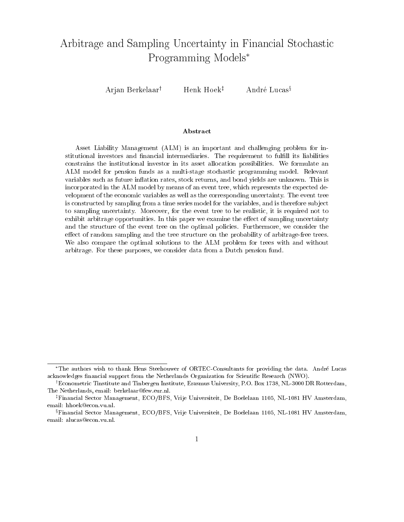# Arbitrage and Sampling Uncertainty in Financial Stochastic Programming Models

Arjan Berkelaar<sup>†</sup> Henk Hoek<sup>‡</sup> André Lucas<sup>§</sup>

#### Abstract

Asset Liability Management (ALM) is an important and challenging problem for institutional investors and financial intermediaries. The requirement to fulfill its liabilities constrains the institutional investor in its asset allocation possibilities. We formulate an ALM model for pension funds as a multi-stage stochastic programming model. Relevant variables such as future inflation rates, stock returns, and bond yields are unknown. This is incorporated in the ALM model by means of an event tree, which represents the expected development of the economic variables as well as the corresponding uncertainty. The event tree is constructed by sampling from a time series model for the variables, and is therefore sub ject to sampling uncertainty. Moreover, for the event tree to be realistic, it is required not to exhibit arbitrage opportunities. In this paper we examine the effect of sampling uncertainty and the structure of the event tree on the optimal policies. Furthermore, we consider the effect of random sampling and the tree structure on the probability of arbitrage-free trees. We also compare the optimal solutions to the ALM problem for trees with and without arbitrage. For these purposes, we consider data from a Dutch pension fund.

The authors wish to thank Hens Steehouwer of ORTEC-Consultants for providing the data. Andre Lucas acknowledges financial support from the Netherlands Organization for Scientific Research (NWO).

<sup>y</sup> Econometric Tinstitute and Tinbergen Institute, Erasmus University, P.O. Box 1738, NL-3000 DR Rotterdam, The Netherlands, email: berkelaar@few.eur.nl.

<sup>z</sup> Financial Sector Management, ECO/BFS, Vrije Universiteit, De Boelelaan 1105, NL-1081 HV Amsterdam, email: hhoek@econ.vu.nl.

<sup>x</sup> Financial Sector Management, ECO/BFS, Vrije Universiteit, De Boelelaan 1105, NL-1081 HV Amsterdam, email: alucas@econ.vu.nl.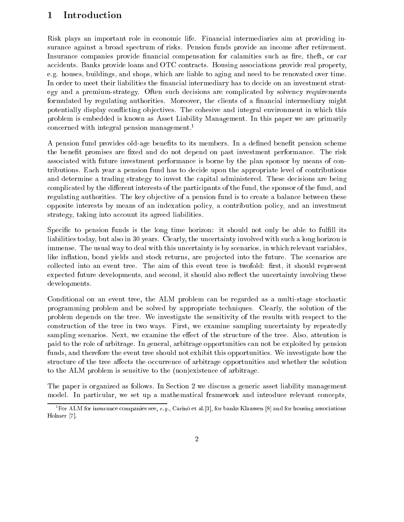## 1 Introduction

Risk plays an important role in economic life. Financial intermediaries aim at providing insurance against a broad spectrum of risks. Pension funds provide an income after retirement. Insurance companies provide financial compensation for calamities such as fire, theft, or car accidents. Banks provide loans and OTC contracts. Housing associations provide real property, e.g. houses, buildings, and shops, which are liable to aging and need to be renovated over time. In order to meet their liabilities the financial intermediary has to decide on an investment strategy and a premium-strategy. Often such decisions are complicated by solvency requirements formulated by regulating authorities. Moreover, the clients of a financial intermediary might potentially display conflicting objectives. The cohesive and integral environment in which this problem is embedded is known as Asset Liability Management. In this paper we are primarily concerned with integral pension management.<sup>1</sup>

A pension fund provides old-age benefits to its members. In a defined benefit pension scheme the benefit promises are fixed and do not depend on past investment performance. The risk associated with future investment performance is borne by the plan sponsor by means of contributions. Each year a pension fund has to decide upon the appropriate level of contributions and determine a trading strategy to invest the capital administered. These decisions are being complicated by the different interests of the participants of the fund, the sponsor of the fund, and regulating authorities. The key objective of a pension fund is to create a balance between these opposite interests by means of an indexation policy, a contribution policy, and an investment strategy, taking into account its agreed liabilities.

Specific to pension funds is the long time horizon: it should not only be able to fulfill its liabilities today, but also in 30 years. Clearly, the uncertainty involved with such a long horizon is immense. The usual way to deal with this uncertainty is by scenarios, in which relevant variables, like inflation, bond yields and stock returns, are projected into the future. The scenarios are collected into an event tree. The aim of this event tree is twofold: first, it should represent expected future developments, and second, it should also reflect the uncertainty involving these developments.

Conditional on an event tree, the ALM problem can be regarded as a multi-stage stochastic programming problem and be solved by appropriate techniques. Clearly, the solution of the problem depends on the tree. We investigate the sensitivity of the results with respect to the construction of the tree in two ways. First, we examine sampling uncertainty by repeatedly sampling scenarios. Next, we examine the effect of the structure of the tree. Also, attention is paid to the role of arbitrage. In general, arbitrage opportunities can not be exploited by pension funds, and therefore the event tree should not exhibit this opportunities. We investigate how the structure of the tree affects the occurrence of arbitrage opportunities and whether the solution to the ALM problem is sensitive to the (non)existence of arbitrage.

The paper is organized as follows. In Section 2 we discuss a generic asset liability management model. In particular, we set up a mathematical framework and introduce relevant concepts,

For ALM for insurance companies see, e.g., Carino et al.[3], for banks Klaassen [8] and for housing associations Holmer [7].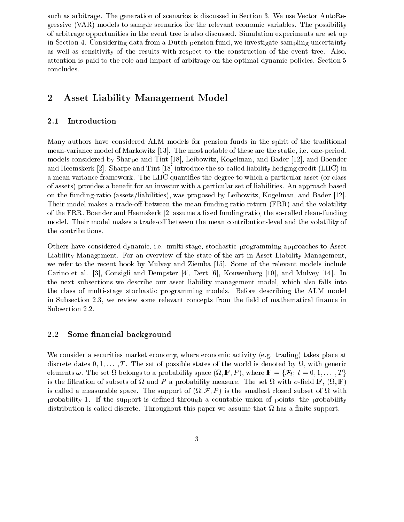such as arbitrage. The generation of scenarios is discussed in Section 3. We use Vector AutoRegressive (VAR) models to sample scenarios for the relevant economic variables. The possibility of arbitrage opportunities in the event tree is also discussed. Simulation experiments are set up in Section 4. Considering data from a Dutch pension fund, we investigate sampling uncertainty as well as sensitivity of the results with respect to the construction of the event tree. Also, attention is paid to the role and impact of arbitrage on the optimal dynamic policies. Section 5 concludes.

## 2 Asset Liability Management Model

### 2.1 Introduction

Many authors have considered ALM models for pension funds in the spirit of the traditional mean-variance model of Markowitz [13]. The most notable of these are the static, i.e. one-period, models considered by Sharpe and Tint [18], Leibowitz, Kogelman, and Bader [12], and Boender and Heemskerk [2]. Sharpe and Tint [18] introduce the so-called liability hedging credit (LHC) in a mean-variance framework. The LHC quanties the degree to which a particular asset (or class of assets) provides a benet for an investor with a particular set of liabilities. An approach based on the funding-ratio (assets/liabilities), was proposed by Leibowitz, Kogelman, and Bader [12]. Their model makes a trade-off between the mean funding ratio return (FRR) and the volatility of the FRR. Boender and Heemskerk [2] assume a fixed funding ratio, the so-called clean-funding model. Their model makes a trade-off between the mean contribution-level and the volatility of the contributions.

Others have considered dynamic, i.e. multi-stage, stochastic programming approaches to Asset Liability Management. For an overview of the state-of-the-art in Asset Liability Management, we refer to the recent book by Mulvey and Ziemba [15]. Some of the relevant models include Carino et al. [3], Consigli and Dempster [4], Dert [6], Kouwenberg [10], and Mulvey [14]. In the next subsections we describe our asset liability management model, which also falls into the class of multi-stage stochastic programming models. Before describing the ALM model in Subsection 2.3, we review some relevant concepts from the field of mathematical finance in Subsection 2.2.

#### 2.2 Some financial background

We consider a securities market economy, where economic activity (e.g. trading) takes place at discrete dates  $0, 1, \ldots, T$ . The set of possible states of the world is denoted by  $\Omega$ , with generic elements  $\omega$ . The set  $\Omega$  belongs to a probability space  $(\Omega, \mathbb{F}, P)$ , where  $\mathbb{F} = \{ \mathcal{F}_t;~t = 0, 1, \ldots, T \}$ is the filtration of subsets of  $\Omega$  and  $P$  a probability measure. The set  $\Omega$  with  $\sigma$ -field  $\mathbb{F}, \ (\Omega, \mathbb{F})$ is called a measurable space. The support of  $(\Omega, \mathcal{F}, P)$  is the smallest closed subset of  $\Omega$  with probability 1. If the support is dened through a countable union of points, the probability distribution is called discrete. Throughout this paper we assume that has a nite support.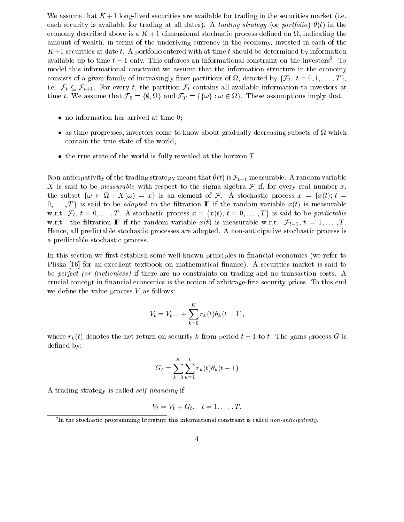We assume that  $K + 1$  long-lived securities are available for trading in the securities market (i.e. each security is available for trading at all dates). A trading strategy (or portfolio)  $\theta(t)$  in the economy described above is a  $K+1$  dimensional stochastic process defined on  $\Omega$ , indicating the amount of wealth, in terms of the underlying currency in the economy, invested in each of the  $K+1$  securities at date t. A portfolio entered with at time t should be determined by information available up to time  $t-1$  only. This enforces an informational constraint on the investors<sup>2</sup>. To model this informational constraint we assume that the information structure in the economy consists of a given family of increasingly finer partitions of  $\Omega$ , denoted by  $\{\mathcal{F}_t, t = 0, 1, \ldots, T\}$ , i.e.  $\mathcal{F}_t \subseteq \mathcal{F}_{t+1}$ . For every t, the partition  $\mathcal{F}_t$  contains all available information to investors at time t. We assume that  $\mathcal{F}_0 = \{\emptyset, \Omega\}$  and  $\mathcal{F}_T = \{\{\omega\} : \omega \in \Omega\}$ . These assumptions imply that:

- no information has arrived at time of time  $\sim$
- as time progresses, investors comes to meet to the production, decreasing subsets of the comes contain the true state of the world;
- the true state of the world is fully revealed at the horizon  $T$ .

Non-anticipativity of the trading strategy means that  $\theta(t)$  is  $\mathcal{F}_{t-1}$  measurable. A random variable X is said to be *measurable* with respect to the sigma-algebra  $\mathcal F$  if, for every real number x, the subset  $\{\omega \in \Omega : X(\omega) = x\}$  is an element of F. A stochastic process  $x = \{x(t): t =$  $[0, \ldots, T]$  is said to be *adapted* to the filtration **F** if the random variable  $x(t)$  is measurable w.r.t.  $\mathcal{F}_t$ ,  $t = 0, \ldots, T$ . A stochastic process  $x = \{x(t); t = 0, \ldots, T\}$  is said to be predictable w.r.t. the filtration **F** if the random variable  $x(t)$  is measurable w.r.t.  $\mathcal{F}_{t-1}, t = 1, \ldots, T$ . Hence, all predictable stochastic processes are adapted. A non-anticipative stochastic process is a predictable stochastic process.

In this section we first establish some well-known principles in financial economics (we refer to Pliska [16] for an excellent textbook on mathematical finance). A securities market is said to be perfect (or frictionless) if there are no constraints on trading and no transaction costs. A crucial concept in nancial economics is the notion of arbitrage-free security prices. To this end we define the value process  $V$  as follows:

$$
V_t = V_{t-1} + \sum_{k=0}^{K} r_k(t)\theta_k(t-1),
$$

where  $r_k(t)$  denotes the net return on security k from period  $t-1$  to t. The gains process G is defined by:

$$
G_t = \sum_{k=0}^{K} \sum_{u=1}^{t} r_k(t) \theta_k(t-1)
$$

A trading strategy is called self-nancing if

$$
V_t = V_0 + G_t, \quad t = 1, \ldots, T.
$$

The stochastic programming literature this informational constraint is called non-anticipativity.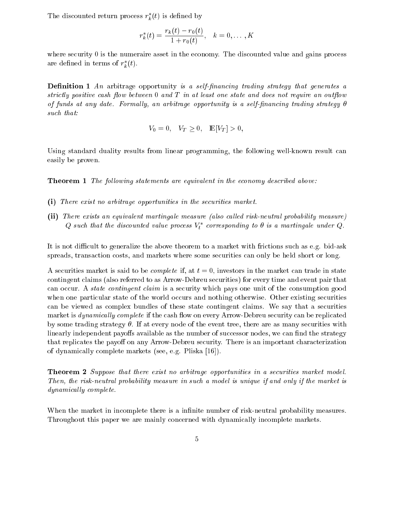The discounted return process  $r_k^*(t)$  is defined by

$$
r_k^*(t) = \frac{r_k(t) - r_0(t)}{1 + r_0(t)}, \quad k = 0, \dots, K
$$

where security 0 is the numeraire asset in the economy. The discounted value and gains process are defined in terms of  $r^*(t)$ .

**Definition 1** An arbitrage opportunity is a self-financing trading strategy that generates a strictly positive cash flow between  $0$  and  $T$  in at least one state and does not require an outflow of funds at any date. Formally, an arbitrage opportunity is a self-financing trading strategy  $\theta$ such that:

$$
V_0 = 0
$$
,  $V_T \ge 0$ ,  $\mathbb{E}[V_T] > 0$ ,

Using standard duality results from linear programming, the following well-known result can easily be proven.

**Theorem 1** The following statements are equivalent in the economy described above:

- (i) There exist no arbitrage opportunities in the securities market.
- (ii) There exists an equivalent martingale measure (also called risk-neutral probability measure)  $Q$  such that the discounted value process  $V_t^\ast$  corresponding to  $\theta$  is a martingale under  $Q$ .

It is not difficult to generalize the above theorem to a market with frictions such as e.g. bid-ask spreads, transaction costs, and markets where some securities can only be held short or long.

A securities market is said to be *complete* if, at  $t = 0$ , investors in the market can trade in state contingent claims (also referred to as Arrow-Debreu securities) for every time and event pair that can occur. A state contingent claim is a security which pays one unit of the consumption good when one particular state of the world occurs and nothing otherwise. Other existing securities can be viewed as complex bundles of these state contingent claims. We say that a securities market is *dynamically complete* if the cash flow on every Arrow-Debreu security can be replicated by some trading strategy  $\theta$ . If at every node of the event tree, there are as many securities with linearly independent payoffs available as the number of successor nodes, we can find the strategy that replicates the payoff on any Arrow-Debreu security. There is an important characterization of dynamically complete markets (see, e.g. Pliska [16]).

Theorem <sup>2</sup> Suppose that there exist no arbitrage opportunities in a securities market model. Then, the risk-neutral probability measure in such a model is unique if and only if the market is dynamically complete.

When the market in incomplete there is a infinite number of risk-neutral probability measures. Throughout this paper we are mainly concerned with dynamically incomplete markets.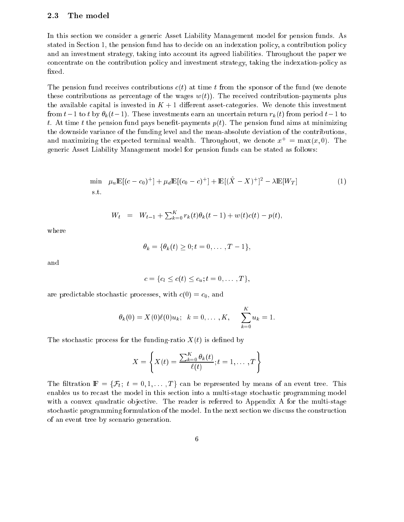#### 2.3 The model

In this section we consider a generic Asset Liability Management model for pension funds. As stated in Section 1, the pension fund has to decide on an indexation policy, a contribution policy and an investment strategy, taking into account its agreed liabilities. Throughout the paper we concentrate on the contribution policy and investment strategy, taking the indexation-policy as xed.

The pension fund receives contributions  $c(t)$  at time t from the sponsor of the fund (we denote these contributions as percentage of the wages  $w(t)$ . The received contribution-payments plus the available capital is invested in  $K + 1$  different asset-categories. We denote this investment from  $t-1$  to t by  $\theta_k(t-1)$ . These investments earn an uncertain return  $r_k(t)$  from period  $t-1$  to t. At time t the pension fund pays benefit-payments  $p(t)$ . The pension fund aims at minimizing the downside variance of the funding level and the mean-absolute deviation of the contributions, and maximizing the expected terminal wealth. Throughout, we denote  $x^+ = \max(x, 0)$ . The generic Asset Liability Management model for pension funds can be stated as follows:

$$
\min_{\mathbf{g}, \mathbf{t}} \mu_u \mathbb{E}[(c - c_0)^+] + \mu_d \mathbb{E}[(c_0 - c)^+] + \mathbb{E}[(\hat{X} - X)^+]^2 - \lambda \mathbb{E}[W_T] \tag{1}
$$
\n
$$
\text{s.t.}
$$

$$
W_t = W_{t-1} + \sum_{k=0}^K r_k(t)\theta_k(t-1) + w(t)c(t) - p(t),
$$

where

$$
\theta_k = \{\theta_k(t) \ge 0; t = 0, \dots, T-1\},\
$$

and

$$
c = \{c_l \leq c(t) \leq c_u; t = 0, \ldots, T\},\
$$

are predictable stochastic processes, with  $c(0) = c_0$ , and

$$
\theta_k(0) = X(0)\ell(0)u_k; \quad k = 0,..., K, \qquad \sum_{k=0}^K u_k = 1.
$$

The stochastic process for the funding-ratio  $X(t)$  is defined by

$$
X = \left\{ X(t) = \frac{\sum_{k=0}^{K} \theta_k(t)}{\ell(t)}; t = 1, \dots, T \right\}
$$

The filtration  $\mathbb{F} = {\mathcal{F}_t; t = 0, 1, ..., T}$  can be represented by means of an event tree. This enables us to recast the model in this section into a multi-stage stochastic programming model with a convex quadratic objective. The reader is referred to Appendix A for the multi-stage stochastic programming formulation of the model. In the next section we discuss the construction of an event tree by scenario generation.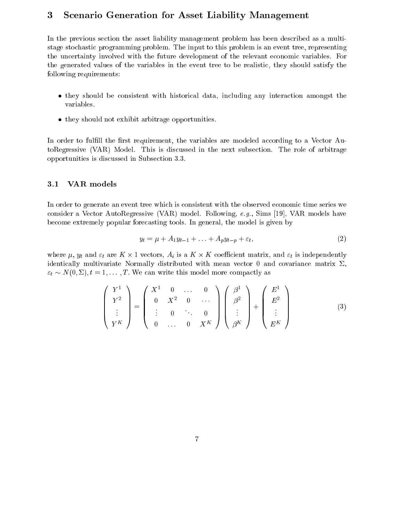## 3 Scenario Generation for Asset Liability Management

In the previous section the asset liability management problem has been described as a multistage stochastic programming problem. The input to this problem is an event tree, representing the uncertainty involved with the future development of the relevant economic variables. For the generated values of the variables in the event tree to be realistic, they should satisfy the following requirements:

- they should be consistent with historical data, including any interaction amongst the variables.
- they should not exhibit arbitrage opportunities.

In order to fulfill the first requirement, the variables are modeled according to a Vector AutoRegressive (VAR) Model. This is discussed in the next subsection. The role of arbitrage opportunities is discussed in Subsection 3.3.

#### 3.1 VAR models

In order to generate an event tree which is consistent with the observed economic time series we consider a Vector AutoRegressive (VAR) model. Following, e.g., Sims [19], VAR models have become extremely popular forecasting tools. In general, the model is given by

$$
y_t = \mu + A_1 y_{t-1} + \ldots + A_p y_{t-p} + \varepsilon_t, \tag{2}
$$

where  $\mu$ ,  $y_t$  and  $\varepsilon_t$  are  $K \times 1$  vectors,  $A_i$  is a  $K \times K$  coefficient matrix, and  $\varepsilon_t$  is independently identically multivariate Normally distributed with mean vector 0 and covariance matrix  $\Sigma$ ,  $\varepsilon_t \sim N(0, \Sigma)$ ,  $t = 1, \ldots, T$ . We can write this model more compactly as

$$
\begin{pmatrix} Y^1 \\ Y^2 \\ \vdots \\ Y^K \end{pmatrix} = \begin{pmatrix} X^1 & 0 & \dots & 0 \\ 0 & X^2 & 0 & \dots \\ \vdots & 0 & \ddots & 0 \\ 0 & \dots & 0 & X^K \end{pmatrix} \begin{pmatrix} \beta^1 \\ \beta^2 \\ \vdots \\ \beta^K \end{pmatrix} + \begin{pmatrix} E^1 \\ E^2 \\ \vdots \\ E^K \end{pmatrix}
$$
(3)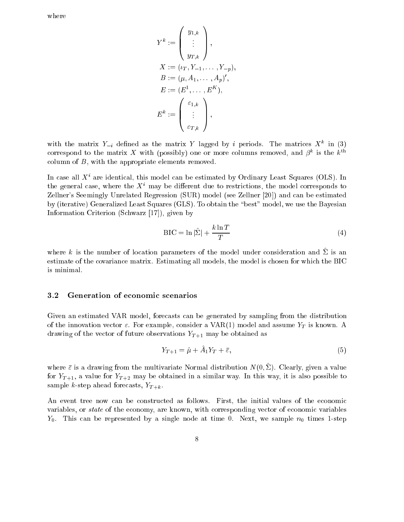where

$$
Y^{k} := \begin{pmatrix} y_{1,k} \\ \vdots \\ y_{T,k} \end{pmatrix},
$$
  
\n
$$
X := (\iota_T, Y_{-1}, \dots, Y_{-p}),
$$
  
\n
$$
B := (\mu, A_1, \dots, A_p)',
$$
  
\n
$$
E := (E^1, \dots, E^K),
$$
  
\n
$$
E^k := \begin{pmatrix} \varepsilon_{1,k} \\ \vdots \\ \varepsilon_{T,k} \end{pmatrix},
$$

with the matrix  $Y_{-i}$  defined as the matrix Y lagged by i periods. The matrices  $X^k$  in (3) correspond to the matrix X with (possibly) one or more columns removed, and  $\beta^k$  is the  $k^{\text{th}}$ column of B, with the appropriate elements removed.

In case all  $X^i$  are identical, this model can be estimated by Ordinary Least Squares (OLS). In the general case, where the  $X<sup>i</sup>$  may be different due to restrictions, the model corresponds to Zellner's Seemingly Unrelated Regression (SUR) model (see Zellner [20]) and can be estimated by (iterative) Generalized Least Squares (GLS). To obtain the \best" model, we use the Bayesian Information Criterion (Schwarz [17]), given by

$$
BIC = \ln|\hat{\Sigma}| + \frac{k \ln T}{T}
$$
 (4)

where k is the number of location parameters of the model under consideration and  $\Sigma$  is an estimate of the covariance matrix. Estimating all models, the model is chosen for which the BIC is minimal.

#### 3.2 Generation of economic scenarios

Given an estimated VAR model, forecasts can be generated by sampling from the distribution of the innovation vector  $\varepsilon$ . For example, consider a VAR(1) model and assume Y<sub>T</sub> is known. A drawing of the vector of future observations  $Y_{T+1}$  may be obtained as

$$
Y_{T+1} = \hat{\mu} + A_1 Y_T + \bar{\varepsilon},\tag{5}
$$

where  $\bar{\varepsilon}$  is a drawing from the multivariate Normal distribution  $N(0, \hat{\Sigma})$ . Clearly, given a value for  $Y_{T+1}$ , a value for  $Y_{T+2}$  may be obtained in a similar way. In this way, it is also possible to sample k-step ahead forecasts,  $Y_{T+k}$ .

An event tree now can be constructed as follows. First, the initial values of the economic variables, or state of the economy, are known, with corresponding vector of economic variables  $Y_0$ . This can be represented by a single node at time 0. Next, we sample  $n_0$  times 1-step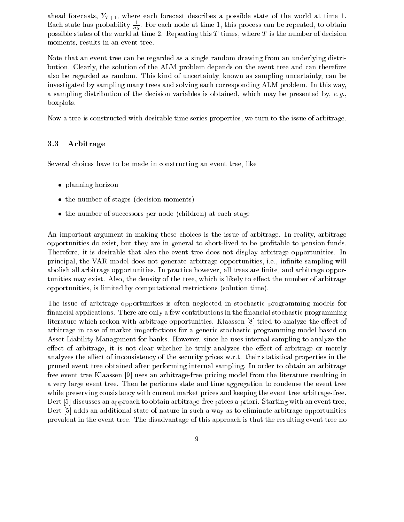ahead forecasts,  $Y_{T+1}$ , where each forecast describes a possible state of the world at time 1. Each state has probability  $\frac{1}{n_0}$ . For each node at time 1, this process can be repeated, to obtain possible states of the world at time 2. Repeating this  $T$  times, where  $T$  is the number of decision moments, results in an event tree.

Note that an event tree can be regarded as a single random drawing from an underlying distribution. Clearly, the solution of the ALM problem depends on the event tree and can therefore also be regarded as random. This kind of uncertainty, known as sampling uncertainty, can be investigated by sampling many trees and solving each corresponding ALM problem. In this way, a sampling distribution of the decision variables is obtained, which may be presented by,  $e.g.,$ boxplots.

Now a tree is constructed with desirable time series properties, we turn to the issue of arbitrage.

### 3.3 Arbitrage

Several choices have to be made in constructing an event tree, like

- planning horizon
- the number of stages (decision moments) (decision moments) (decision moments) (decision  $\mathcal{U}$
- the number of successors per node (children) at each stage

An important argument in making these choices is the issue of arbitrage. In reality, arbitrage opportunities do exist, but they are in general to short-lived to be protable to pension funds. Therefore, it is desirable that also the event tree does not display arbitrage opportunities. In principal, the VAR model does not generate arbitrage opportunities, i.e., infinite sampling will abolish all arbitrage opportunities. In practice however, all trees are finite, and arbitrage opportunities may exist. Also, the density of the tree, which is likely to effect the number of arbitrage opportunities, is limited by computational restrictions (solution time).

The issue of arbitrage opportunities is often neglected in stochastic programming models for financial applications. There are only a few contributions in the financial stochastic programming literature which reckon with arbitrage opportunities. Klaassen  $|8|$  tried to analyze the effect of arbitrage in case of market imperfections for a generic stochastic programming model based on Asset Liability Management for banks. However, since he uses internal sampling to analyze the effect of arbitrage, it is not clear whether he truly analyzes the effect of arbitrage or merely analyzes the effect of inconsistency of the security prices w.r.t. their statistical properties in the pruned event tree obtained after performing internal sampling. In order to obtain an arbitrage free event tree Klaassen [9] uses an arbitrage-free pricing model from the literature resulting in a very large event tree. Then he performs state and time aggregation to condense the event tree while preserving consistency with current market prices and keeping the event tree arbitrage-free. Dert [5] discusses an approach to obtain arbitrage-free prices a priori. Starting with an event tree, Dert [5] adds an additional state of nature in such a way as to eliminate arbitrage opportunities prevalent in the event tree. The disadvantage of this approach is that the resulting event tree no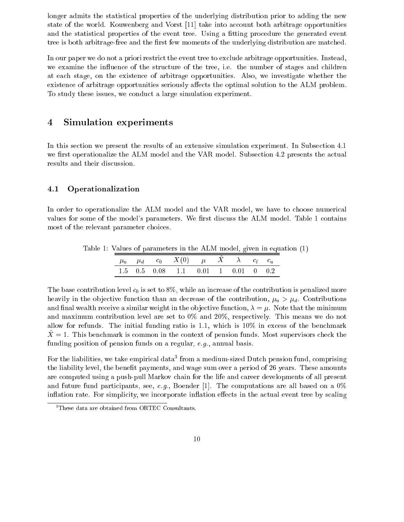longer admits the statistical properties of the underlying distribution prior to adding the new state of the world. Kouwenberg and Vorst [11] take into account both arbitrage opportunities and the statistical properties of the event tree. Using a fitting procedure the generated event tree is both arbitrage-free and the first few moments of the underlying distribution are matched.

In our paper we do not a priori restrict the event tree to exclude arbitrage opportunities. Instead, we examine the influence of the structure of the tree, i.e. the number of stages and children at each stage, on the existence of arbitrage opportunities. Also, we investigate whether the existence of arbitrage opportunities seriously affects the optimal solution to the ALM problem. To study these issues, we conduct a large simulation experiment.

#### Simulation experiments  $\overline{4}$

In this section we present the results of an extensive simulation experiment. In Subsection 4.1 we first operationalize the ALM model and the VAR model. Subsection 4.2 presents the actual results and their discussion.

### 4.1 Operationalization

In order to operationalize the ALM model and the VAR model, we have to choose numerical values for some of the model's parameters. We first discuss the ALM model. Table 1 contains most of the relevant parameter choices.

|  |  |  | $\mu_u$ $\mu_d$ $c_0$ $X(0)$ $\mu$ $\hat{X}$ $\lambda$ $c_l$ $c_u$ |  |  |  |  |  |  |
|--|--|--|--------------------------------------------------------------------|--|--|--|--|--|--|
|  |  |  | $1.5$ 0.5 0.08 1.1 0.01 1 0.01 0 0.2                               |  |  |  |  |  |  |

Table 1: Values of parameters in the ALM model, given in equation (1)

The base contribution level  $c_0$  is set to 8%, while an increase of the contribution is penalized more heavily in the objective function than an decrease of the contribution,  $\mu_u > \mu_d$ . Contributions and final wealth receive a similar weight in the objective function,  $\lambda = \mu$ . Note that the minimum and maximum contribution level are set to 0% and 20%, respectively. This means we do not allow for refunds. The initial funding ratio is 1.1, which is 10% in excess of the benchmark  $X = 1$ . This benchmark is common in the context of pension funds. Most supervisors check the funding position of pension funds on a regular, e.g., annual basis.

For the liabilities, we take empirical data<sup>3</sup> from a medium-sized Dutch pension fund, comprising the liability level, the benefit payments, and wage sum over a period of 26 years. These amounts are computed using a push-pull Markov chain for the life and career developments of all present and future fund participants, see, e.g., Boender [1]. The computations are all based on a  $0\%$ inflation rate. For simplicity, we incorporate inflation effects in the actual event tree by scaling

These data are obtained from ORTEC Consultants.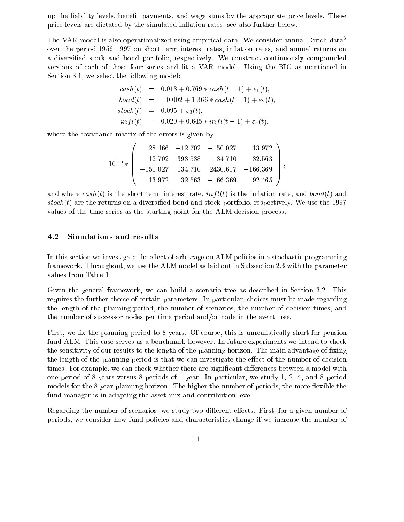up the liability levels, benet payments, and wage sums by the appropriate price levels. These price levels are dictated by the simulated in
ation rates, see also further below.

The VAR model is also operationalized using empirical data. We consider annual Dutch data<sup>3</sup> over the period 1956–1997 on short term interest rates, inflation rates, and annual returns on a diversied stock and bond portfolio, respectively. We construct continuously compounded versions of each of these four series and fit a VAR model. Using the BIC as mentioned in Section 3.1, we select the following model:

$$
cash(t) = 0.013 + 0.769 * cash(t - 1) + \varepsilon_1(t),
$$
  
\n
$$
bond(t) = -0.002 + 1.366 * cash(t - 1) + \varepsilon_2(t),
$$
  
\n
$$
stock(t) = 0.095 + \varepsilon_3(t),
$$
  
\n
$$
infl(t) = 0.020 + 0.645 * infl(t - 1) + \varepsilon_4(t),
$$

where the covariance matrix of the errors is given by

$$
10^{-5}*\left(\begin{array}{cccc} 28.466 & -12.702 & -150.027 & 13.972 \\ -12.702 & 393.538 & 134.710 & 32.563 \\ -150.027 & 134.710 & 2430.607 & -166.369 \\ 13.972 & 32.563 & -166.369 & 92.465 \end{array}\right),
$$

and where  $cash(t)$  is the short term interest rate,  $infl(t)$  is the inflation rate, and  $bond(t)$  and  $stock(t)$  are the returns on a diversified bond and stock portfolio, respectively. We use the 1997 values of the time series as the starting point for the ALM decision process.

#### 4.2 Simulations and results

In this section we investigate the effect of arbitrage on ALM policies in a stochastic programming framework. Throughout, we use the ALM model as laid out in Subsection 2.3 with the parameter values from Table 1.

Given the general framework, we can build a scenario tree as described in Section 3.2. This requires the further choice of certain parameters. In particular, choices must be made regarding the length of the planning period, the number of scenarios, the number of decision times, and the number of successor nodes per time period and/or node in the event tree.

First, we fix the planning period to 8 years. Of course, this is unrealistically short for pension fund ALM. This case serves as a benchmark however. In future experiments we intend to check the sensitivity of our results to the length of the planning horizon. The main advantage of fixing the length of the planning period is that we can investigate the effect of the number of decision times. For example, we can check whether there are significant differences between a model with one period of 8 years versus 8 periods of 1 year. In particular, we study 1, 2, 4, and 8 period models for the 8 year planning horizon. The higher the number of periods, the more flexible the fund manager is in adapting the asset mix and contribution level.

Regarding the number of scenarios, we study two different effects. First, for a given number of periods, we consider how fund policies and characteristics change if we increase the number of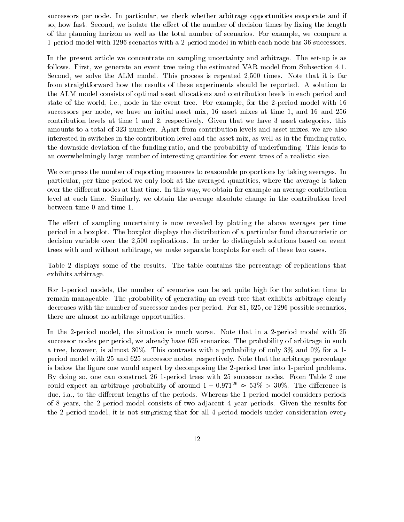successors per node. In particular, we check whether arbitrage opportunities evaporate and if so, how fast. Second, we isolate the effect of the number of decision times by fixing the length of the planning horizon as well as the total number of scenarios. For example, we compare a 1-period model with 1296 scenarios with a 2-period model in which each node has 36 successors.

In the present article we concentrate on sampling uncertainty and arbitrage. The set-up is as follows. First, we generate an event tree using the estimated VAR model from Subsection 4.1. Second, we solve the ALM model. This process is repeated 2,500 times. Note that it is far from straightforward how the results of these experiments should be reported. A solution to the ALM model consists of optimal asset allocations and contribution levels in each period and state of the world, i.e., node in the event tree. For example, for the 2-period model with 16 successors per node, we have an initial asset mix, 16 asset mixes at time 1, and 16 and 256 contribution levels at time 1 and 2, respectively. Given that we have 3 asset categories, this amounts to a total of 323 numbers. Apart from contribution levels and asset mixes, we are also interested in switches in the contribution level and the asset mix, as well as in the funding ratio, the downside deviation of the funding ratio, and the probability of underfunding. This leads to an overwhelmingly large number of interesting quantities for event trees of a realistic size.

We compress the number of reporting measures to reasonable proportions by taking averages. In particular, per time period we only look at the averaged quantities, where the average is taken over the different nodes at that time. In this way, we obtain for example an average contribution level at each time. Similarly, we obtain the average absolute change in the contribution level between time 0 and time 1.

The effect of sampling uncertainty is now revealed by plotting the above averages per time period in a boxplot. The boxplot displays the distribution of a particular fund characteristic or decision variable over the 2,500 replications. In order to distinguish solutions based on event trees with and without arbitrage, we make separate boxplots for each of these two cases.

Table 2 displays some of the results. The table contains the percentage of replications that exhibits arbitrage.

For 1-period models, the number of scenarios can be set quite high for the solution time to remain manageable. The probability of generating an event tree that exhibits arbitrage clearly decreases with the number of successor nodes per period. For 81, 625, or 1296 possible scenarios, there are almost no arbitrage opportunities.

In the 2-period model, the situation is much worse. Note that in a 2-period model with 25 successor nodes per period, we already have 625 scenarios. The probability of arbitrage in such a tree, however, is almost 30%. This contrasts with a probability of only 3% and 0% for a 1 period model with 25 and 625 successor nodes, respectively. Note that the arbitrage percentage is below the figure one would expect by decomposing the 2-period tree into 1-period problems. By doing so, one can construct 26 1-period trees with 25 successor nodes. From Table 2 one could expect an arbitrage probability of around  $1 - 0.971^{26} \approx 53\% > 30\%$ . The difference is due, i.a., to the different lengths of the periods. Whereas the 1-period model considers periods of 8 years, the 2-period model consists of two adjacent 4 year periods. Given the results for the 2-period model, it is not surprising that for all 4-period models under consideration every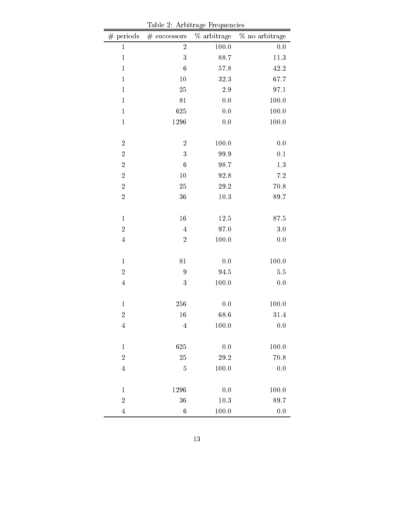| $\#$ periods     | $#$ successors   | % arbitrage | % no arbitrage |
|------------------|------------------|-------------|----------------|
| $\mathbf{1}$     | $\overline{2}$   | 100.0       | 0.0            |
| $\,1\,$          | 3                | 88.7        | $11.3\,$       |
| $\,1\,$          | $\boldsymbol{6}$ | 57.8        | 42.2           |
| $\,1\,$          | 10               | 32.3        | 67.7           |
| $\,1\,$          | $25\,$           | 2.9         | 97.1           |
| $\,1\,$          | 81               | 0.0         | 100.0          |
| $\,1\,$          | 625              | 0.0         | 100.0          |
| $\,1$            | 1296             | 0.0         | 100.0          |
|                  |                  |             |                |
| $\sqrt{2}$       | $\sqrt{2}$       | 100.0       | 0.0            |
| $\boldsymbol{2}$ | 3                | 99.9        | $0.1\,$        |
| $\sqrt{2}$       | $\boldsymbol{6}$ | 98.7        | $1.3\,$        |
| $\boldsymbol{2}$ | 10               | 92.8        | $7.2\,$        |
| $\sqrt{2}$       | 25               | $29.2\,$    | 70.8           |
| $\sqrt{2}$       | 36               | $10.3\,$    | 89.7           |
|                  |                  |             |                |
| $\,1\,$          | 16               | 12.5        | $87.5\,$       |
| $\sqrt{2}$       | $\sqrt{4}$       | 97.0        | 3.0            |
| $\overline{4}$   | $\sqrt{2}$       | 100.0       | 0.0            |
|                  |                  |             |                |
| $\,1$            | $8\sqrt{1}$      | 0.0         | 100.0          |
| $\boldsymbol{2}$ | 9                | 94.5        | $5.5\,$        |
| $\overline{4}$   | 3                | 100.0       | $0.0\,$        |
|                  |                  |             |                |
| $\mathbf{1}$     | 256              | 0.0         | 100.0          |
| $\overline{2}$   | 16               | 68.6        | $31.4\,$       |
| 4                | $\overline{4}$   | 100.0       | 0.0            |
|                  |                  |             |                |
| $\,1\,$          | 625              | 0.0         | 100.0          |
| $\overline{2}$   | 25               | 29.2        | 70.8           |
| $\overline{4}$   | $\overline{5}$   | 100.0       | 0.0            |
|                  |                  |             |                |
| $\mathbf{1}$     | 1296             | 0.0         | 100.0          |
| $\overline{2}$   | 36               | $10.3\,$    | 89.7           |
| $\overline{4}$   | $\overline{6}$   | 100.0       | 0.0            |

Table 2: Arbitrage Frequencies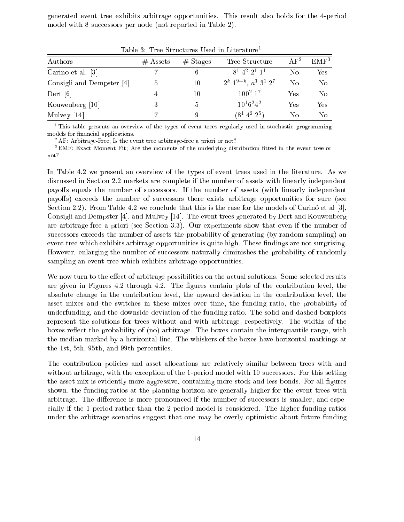generated event tree exhibits arbitrage opportunities. This result also holds for the 4-period model with 8 successors per node (not reported in Table 2).

| TOOTO 0. TICO METODIALOO MAAL III LIIOLOIGIO |            |            |                                                    |          |                  |  |
|----------------------------------------------|------------|------------|----------------------------------------------------|----------|------------------|--|
| Authors                                      | $#$ Assets | $#$ Stages | Tree Structure                                     | $AF^2$   | EMF <sup>3</sup> |  |
| Carino et al. [3]                            |            | 6          | $8^1$ 4 <sup>2</sup> 2 <sup>1</sup> 1 <sup>1</sup> | $\rm No$ | Yes              |  |
| Consigli and Dempster [4]                    | Ð          | 10         | $2^k$ $1^{9-k}$ , $a^1$ $3^1$ $2^7$                | No       | N <sub>o</sub>   |  |
| Dert [6]                                     | 4          | 10         | $100^2$ 1 <sup>7</sup>                             | Yes      | No               |  |
| Kouwenberg [10]                              | 3          |            | $10^16^24^2$                                       | Yes      | Yes              |  |
| Mulvey $[14]$                                |            |            | $(8^1\;4^2\;2^5)$                                  | No       | No               |  |

Table 3: Tree Structures Used in Literature<sup>1</sup>

This table presents an overview of the types of event trees regularly used in stochastic programming models for financial applications.

<sup>2</sup> AF: Arbitrage-Free; Is the event tree arbitrage-free a priori or not?

<sup>3</sup> EMF: Exact Moment Fit; Are the moments of the underlying distribution tted in the event tree or not?

In Table 4.2 we present an overview of the types of event trees used in the literature. As we discussed in Section 2.2 markets are complete if the number of assets with linearly independent payoffs equals the number of successors. If the number of assets (with linearly independent payoffs) exceeds the number of successors there exists arbitrage opportunities for sure (see Section 2.2). From Table 4.2 we conclude that this is the case for the models of Carino et al [3], Consigli and Dempster [4], and Mulvey [14]. The event trees generated by Dert and Kouwenberg are arbitrage-free a priori (see Section 3.3). Our experiments show that even if the number of successors exceeds the number of assets the probability of generating (by random sampling) an event tree which exhibits arbitrage opportunities is quite high. These findings are not surprising. However, enlarging the number of successors naturally diminishes the probability of randomly sampling an event tree which exhibits arbitrage opportunities.

We now turn to the effect of arbitrage possibilities on the actual solutions. Some selected results are given in Figures 4.2 through 4.2. The figures contain plots of the contribution level, the absolute change in the contribution level, the upward deviation in the contribution level, the asset mixes and the switches in these mixes over time, the funding ratio, the probability of underfunding, and the downside deviation of the funding ratio. The solid and dashed boxplots represent the solutions for trees without and with arbitrage, respectively. The widths of the boxes reflect the probability of (no) arbitrage. The boxes contain the interquantile range, with the median marked by a horizontal line. The whiskers of the boxes have horizontal markings at the 1st, 5th, 95th, and 99th percentiles.

The contribution policies and asset allocations are relatively similar between trees with and without arbitrage, with the exception of the 1-period model with 10 successors. For this setting the asset mix is evidently more aggressive, containing more stock and less bonds. For all figures shown, the funding ratios at the planning horizon are generally higher for the event trees with arbitrage. The difference is more pronounced if the number of successors is smaller, and especially if the 1-period rather than the 2-period model is considered. The higher funding ratios under the arbitrage scenarios suggest that one may be overly optimistic about future funding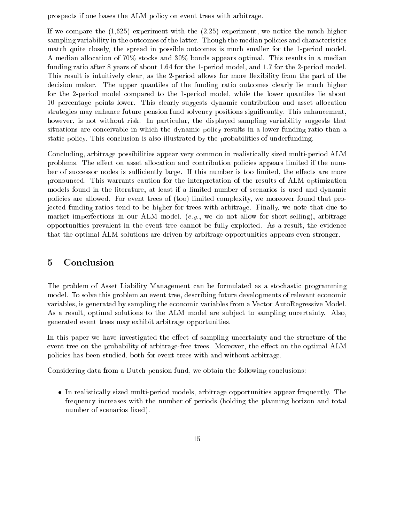prospects if one bases the ALM policy on event trees with arbitrage.

If we compare the  $(1,625)$  experiment with the  $(2,25)$  experiment, we notice the much higher sampling variability in the outcomes of the latter. Though the median policies and characteristics match quite closely, the spread in possible outcomes is much smaller for the 1-period model. A median allocation of 70% stocks and 30% bonds appears optimal. This results in a median funding ratio after 8 years of about 1.64 for the 1-period model, and 1.7 for the 2-period model. This result is intuitively clear, as the 2-period allows for more flexibility from the part of the decision maker. The upper quantiles of the funding ratio outcomes clearly lie much higher for the 2-period model compared to the 1-period model, while the lower quantiles lie about 10 percentage points lower. This clearly suggests dynamic contribution and asset allocation strategies may enhance future pension fund solvency positions signicantly. This enhancement, however, is not without risk. In particular, the displayed sampling variability suggests that situations are conceivable in which the dynamic policy results in a lower funding ratio than a static policy. This conclusion is also illustrated by the probabilities of underfunding.

Concluding, arbitrage possibilities appear very common in realistically sized multi-period ALM problems. The effect on asset allocation and contribution policies appears limited if the number of successor nodes is sufficiently large. If this number is too limited, the effects are more pronounced. This warrants caution for the interpretation of the results of ALM optimization models found in the literature, at least if a limited number of scenarios is used and dynamic policies are allowed. For event trees of (too) limited complexity, we moreover found that projected funding ratios tend to be higher for trees with arbitrage. Finally, we note that due to market imperfections in our ALM model,  $(e.g.,\,$  we do not allow for short-selling), arbitrage opportunities prevalent in the event tree cannot be fully exploited. As a result, the evidence that the optimal ALM solutions are driven by arbitrage opportunities appears even stronger.

## 5 Conclusion

The problem of Asset Liability Management can be formulated as a stochastic programming model. To solve this problem an event tree, describing future developments of relevant economic variables, is generated by sampling the economic variables from a Vector AutoRegressive Model. As a result, optimal solutions to the ALM model are subject to sampling uncertainty. Also, generated event trees may exhibit arbitrage opportunities.

In this paper we have investigated the effect of sampling uncertainty and the structure of the event tree on the probability of arbitrage-free trees. Moreover, the effect on the optimal ALM policies has been studied, both for event trees with and without arbitrage.

Considering data from a Dutch pension fund, we obtain the following conclusions:

 In realistically sized multi-period models, arbitrage opportunities appear frequently. The frequency increases with the number of periods (holding the planning horizon and total number of scenarios fixed).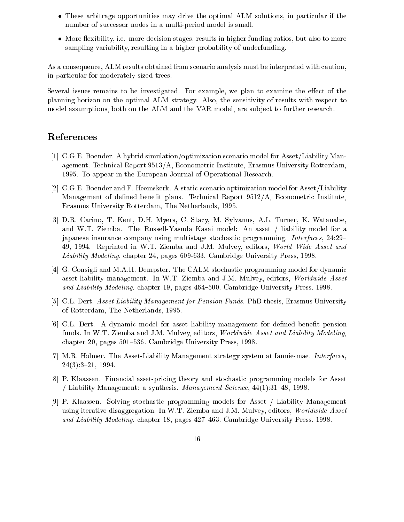- These arbitrage opportunities may drive the optimal ALM solutions, in particular if the number of successor nodes in a multi-period model is small.
- More exibility, i.e. more decision stages, results in higher funding ratios, but also to more sampling variability, resulting in a higher probability of underfunding.

As a consequence, ALM results obtained from scenario analysis must be interpreted with caution, in particular for moderately sized trees.

Several issues remains to be investigated. For example, we plan to examine the effect of the planning horizon on the optimal ALM strategy. Also, the sensitivity of results with respect to model assumptions, both on the ALM and the VAR model, are subject to further research.

## References

- [1] C.G.E. Boender. A hybrid simulation/optimization scenario model for Asset/Liability Management. Technical Report 9513/A, Econometric Institute, Erasmus University Rotterdam, 1995. To appear in the European Journal of Operational Research.
- [2] C.G.E. Boender and F. Heemskerk. A static scenario optimization model for Asset/Liability Management of defined benefit plans. Technical Report 9512/A, Econometric Institute, Erasmus University Rotterdam, The Netherlands, 1995.
- [3] D.R. Carino, T. Kent, D.H. Myers, C. Stacy, M. Sylvanus, A.L. Turner, K. Watanabe, and W.T. Ziemba. The Russell-Yasuda Kasai model: An asset / liability model for a japanese insurance company using multistage stochastic programming. Interfaces,  $24:29-$ 49, 1994. Reprinted in W.T. Ziemba and J.M. Mulvey, editors, World Wide Asset and Liability Modeling, chapter 24, pages 609-633. Cambridge University Press, 1998.
- [4] G. Consigli and M.A.H. Dempster. The CALM stochastic programming model for dynamic asset-liability management. In W.T. Ziemba and J.M. Mulvey, editors, Worldwide Asset and Liability Modeling, chapter 19, pages 464–500. Cambridge University Press, 1998.
- [5] C.L. Dert. Asset Liability Management for Pension Funds. PhD thesis, Erasmus University of Rotterdam, The Netherlands, 1995.
- [6] C.L. Dert. A dynamic model for asset liability management for defined benefit pension funds. In W.T. Ziemba and J.M. Mulvey, editors, Worldwide Asset and Liability Modeling, chapter 20, pages 501–536. Cambridge University Press, 1998.
- [7] M.R. Holmer. The Asset-Liability Management strategy system at fannie-mae. Interfaces,  $24(3):3-21, 1994.$
- [8] P. Klaassen. Financial asset-pricing theory and stochastic programming models for Asset / Liability Management: a synthesis. Management Science,  $44(1):31-48$ , 1998.
- [9] P. Klaassen. Solving stochastic programming models for Asset / Liability Management using iterative disaggregation. In W.T. Ziemba and J.M. Mulvey, editors, Worldwide Asset and Liability Modeling, chapter 18, pages 427–463. Cambridge University Press, 1998.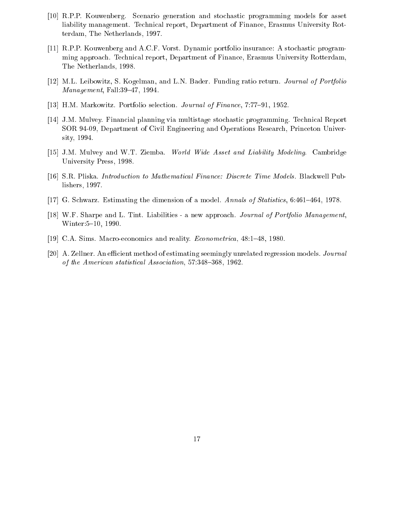- [10] R.P.P. Kouwenberg. Scenario generation and stochastic programming models for asset liability management. Technical report, Department of Finance, Erasmus University Rotterdam, The Netherlands, 1997.
- [11] R.P.P. Kouwenberg and A.C.F. Vorst. Dynamic portfolio insurance: A stochastic programming approach. Technical report, Department of Finance, Erasmus University Rotterdam, The Netherlands, 1998.
- [12] M.L. Leibowitz, S. Kogelman, and L.N. Bader. Funding ratio return. Journal of Portfolio  $Management$ , Fall:39-47, 1994.
- [13] H.M. Markowitz. Portfolio selection. Journal of Finance, 7:77-91, 1952.
- [14] J.M. Mulvey. Financial planning via multistage stochastic programming. Technical Report SOR 94-09, Department of Civil Engineering and Operations Research, Princeton University, 1994.
- [15] J.M. Mulvey and W.T. Ziemba. World Wide Asset and Liability Modeling. Cambridge University Press, 1998.
- [16] S.R. Pliska. Introduction to Mathematical Finance: Discrete Time Models. Blackwell Publishers, 1997.
- [17] G. Schwarz. Estimating the dimension of a model. Annals of Statistics,  $6:461-464$ , 1978.
- [18] W.F. Sharpe and L. Tint. Liabilities a new approach. Journal of Portfolio Management, Winter: 5-10, 1990.
- [19] C.A. Sims. Macro-economics and reality. *Econometrica*, 48:1-48, 1980.
- [20] A. Zellner. An efficient method of estimating seemingly unrelated regression models. Journal of the American statistical Association,  $57:348-368$ ,  $1962$ .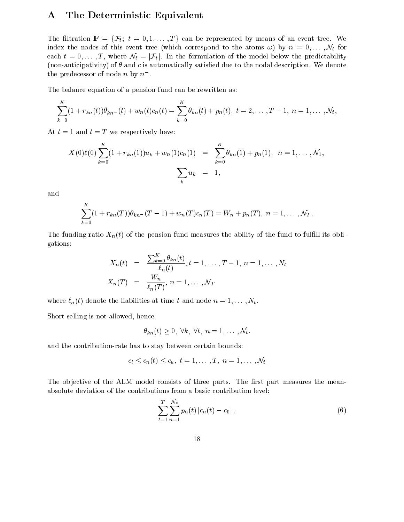## A The Deterministic Equivalent

The filtration  $\mathbb{F} = \{\mathcal{F}_t; t = 0, 1, \ldots, T\}$  can be represented by means of an event tree. We index the nodes of this event tree (which correspond to the atoms  $\omega$ ) by  $n = 0, \ldots, \mathcal{N}_t$  for each  $t = 0, \ldots, T$ , where  $\mathcal{N}_t = |\mathcal{F}_t|$ . In the formulation of the model below the predictability (non-anticipativity) of  $\theta$  and c is automatically satisfied due to the nodal description. We denote the predecessor of node  $n$  by  $n$  .

The balance equation of a pension fund can be rewritten as:

$$
\sum_{k=0}^{K} (1 + r_{kn}(t))\theta_{kn-}(t) + w_n(t)c_n(t) = \sum_{k=0}^{K} \theta_{kn}(t) + p_n(t), \ t = 2, \ldots, T-1, \ n = 1, \ldots, \mathcal{N}_t,
$$

At  $t = 1$  and  $t = T$  we respectively have:

$$
X(0)\ell(0)\sum_{k=0}^K(1+r_{kn}(1))u_k+w_n(1)c_n(1) = \sum_{k=0}^K\theta_{kn}(1)+p_n(1), n=1,\ldots,N_1,
$$
  

$$
\sum_k u_k = 1,
$$

and

$$
\sum_{k=0}^K (1 + r_{kn}(T))\theta_{kn} - (T-1) + w_n(T)c_n(T) = W_n + p_n(T), \quad n = 1, \ldots, \mathcal{N}_T,
$$

The funding-ratio  $X_n(t)$  of the pension fund measures the ability of the fund to fulfill its obligations:

$$
X_n(t) = \frac{\sum_{k=0}^K \theta_{kn}(t)}{\ell_n(t)}, t = 1, ..., T-1, n = 1, ..., N_t
$$
  

$$
X_n(T) = \frac{W_n}{\ell_n(T)}, n = 1, ..., \mathcal{N}_T
$$

where  $\ell_n(t)$  denote the liabilities at time t and node  $n = 1, \ldots, N_t$ .

Short selling is not allowed, hence

$$
\theta_{kn}(t) \geq 0, \ \forall k, \ \forall t, \ n = 1, \ldots, \mathcal{N}_t.
$$

and the contribution-rate has to stay between certain bounds:

$$
c_l \leq c_n(t) \leq c_u, t = 1, \ldots, T, n = 1, \ldots, \mathcal{N}_t
$$

The objective of the ALM model consists of three parts. The first part measures the meanabsolute deviation of the contributions from a basic contribution level:

$$
\sum_{t=1}^{T} \sum_{n=1}^{N_t} p_n(t) |c_n(t) - c_0|,
$$
\n(6)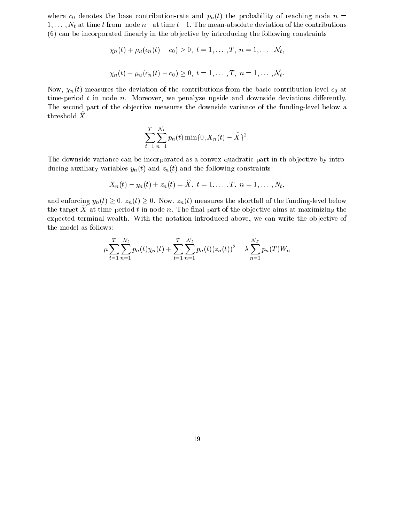where  $c_0$  denotes the base contribution-rate and  $p_n(t)$  the probability of reaching node  $n =$  $1,\ldots,N_t$  at time t from node  $n^-$  at time  $t-1.$  The mean-absolute deviation of the contributions  $(6)$  can be incorporated linearly in the objective by introducing the following constraints

$$
\chi_n(t) + \mu_d(c_n(t) - c_0) \ge 0, \ t = 1, ..., T, \ n = 1, ..., \mathcal{N}_t,
$$
  
 $\chi_n(t) - \mu_u(c_n(t) - c_0) \ge 0, \ t = 1, ..., T, \ n = 1, ..., \mathcal{N}_t.$ 

Now,  $\chi_n(t)$  measures the deviation of the contributions from the basic contribution level  $c_0$  at time-period  $t$  in node  $n$ . Moreover, we penalyze upside and downside deviations differently. The second part of the objective measures the downside variance of the funding-level below a threshold  $\hat{X}$ 

$$
\sum_{t=1}^T \sum_{n=1}^{N_t} p_n(t) \min\{0, X_n(t) - \widehat{X}\}^2.
$$

The downside variance can be incorporated as a convex quadratic part in the objective by introducing auxiliary variables  $y_n(t)$  and  $z_n(t)$  and the following constraints:

$$
X_n(t) - y_n(t) + z_n(t) = \widehat{X}, t = 1, ..., T, n = 1, ..., N_t,
$$

and enforcing  $y_n(t) \geq 0$ ,  $z_n(t) \geq 0$ . Now,  $z_n(t)$  measures the shortfall of the funding-level below the target  $X$  at time-period  $t$  in node  $n$ . The final part of the objective aims at maximizing the expected terminal wealth. With the notation introduced above, we can write the objective of the model as follows:

$$
\mu \sum_{t=1}^{T} \sum_{n=1}^{N_t} p_n(t) \chi_n(t) + \sum_{t=1}^{T} \sum_{n=1}^{N_t} p_n(t) (z_n(t))^2 - \lambda \sum_{n=1}^{N_T} p_n(T) W_n
$$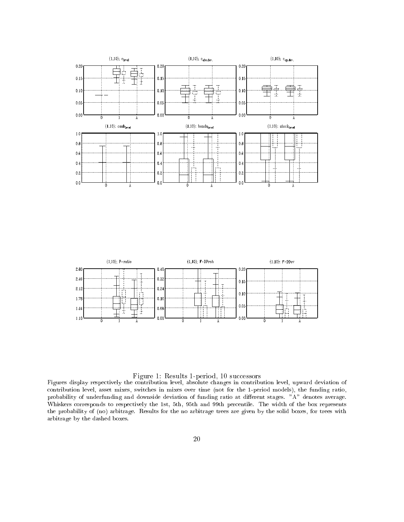



#### Figure 1: Results 1-period, 10 successors

Figures display respectively the contribution level, absolute changes in contribution level, upward deviation of contribution level, asset mixes, switches in mixes over time (not for the 1-period models), the funding ratio, probability of underfunding and downside deviation of funding ratio at different stages. "A" denotes average. Whiskers corresponds to respectively the 1st, 5th, 95th and 99th percentile. The width of the box represents the probability of (no) arbitrage. Results for the no arbitrage trees are given by the solid boxes, for trees with arbitrage by the dashed boxes.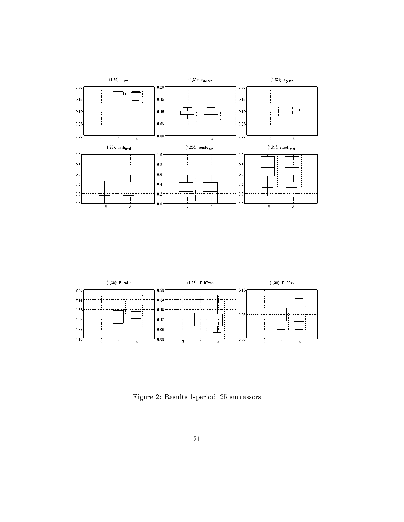



Figure 2: Results 1-period, 25 successors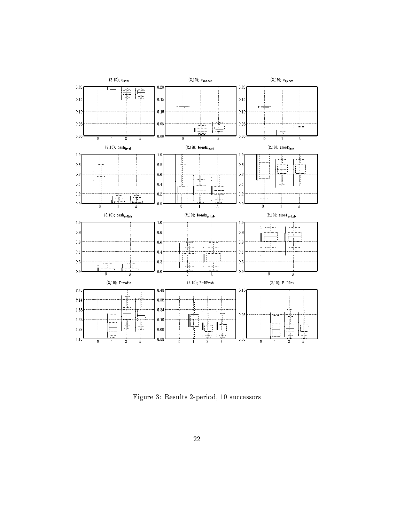

Figure 3: Results 2-period, 10 successors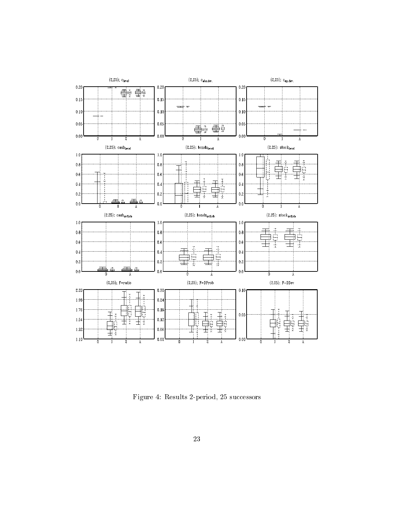

Figure 4: Results 2-period, 25 successors